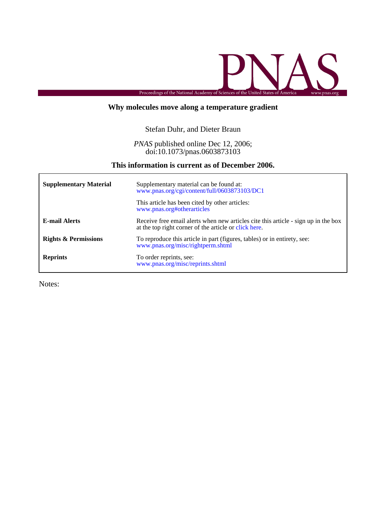

## **Why molecules move along a temperature gradient**

## Stefan Duhr, and Dieter Braun

### doi:10.1073/pnas.0603873103 *PNAS* published online Dec 12, 2006;

## **This information is current as of December 2006.**

| <b>Supplementary Material</b>   | Supplementary material can be found at:<br>www.pnas.org/cgi/content/full/0603873103/DC1                                                     |
|---------------------------------|---------------------------------------------------------------------------------------------------------------------------------------------|
|                                 | This article has been cited by other articles:<br>www.pnas.org#otherarticles                                                                |
| <b>E-mail Alerts</b>            | Receive free email alerts when new articles cite this article - sign up in the box<br>at the top right corner of the article or click here. |
| <b>Rights &amp; Permissions</b> | To reproduce this article in part (figures, tables) or in entirety, see:<br>www.pnas.org/misc/rightperm.shtml                               |
| <b>Reprints</b>                 | To order reprints, see:<br>www.pnas.org/misc/reprints.shtml                                                                                 |

Notes: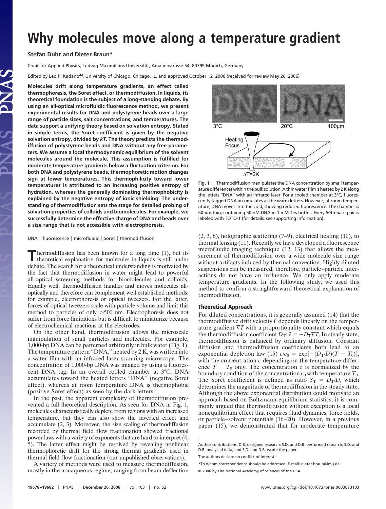# **Why molecules move along a temperature gradient**

#### **Stefan Duhr and Dieter Braun\***

Chair for Applied Physics, Ludwig Maximilians Universität, Amalienstrasse 54, 80799 Munich, Germany

Edited by Leo P. Kadanoff, University of Chicago, Chicago, IL, and approved October 12, 2006 (received for review May 26, 2006)

**Molecules drift along temperature gradients, an effect called thermophoresis, the Soret effect, or thermodiffusion. In liquids, its theoretical foundation is the subject of a long-standing debate. By using an all-optical microfluidic fluorescence method, we present experimental results for DNA and polystyrene beads over a large range of particle sizes, salt concentrations, and temperatures. The data support a unifying theory based on solvation entropy. Stated in simple terms, the Soret coefficient is given by the negative solvation entropy, divided by** *kT***. The theory predicts the thermodiffusion of polystyrene beads and DNA without any free parameters. We assume a local thermodynamic equilibrium of the solvent molecules around the molecule. This assumption is fulfilled for moderate temperature gradients below a fluctuation criterion. For both DNA and polystyrene beads, thermophoretic motion changes sign at lower temperatures. This thermophilicity toward lower temperatures is attributed to an increasing positive entropy of hydration, whereas the generally dominating thermophobicity is explained by the negative entropy of ionic shielding. The understanding of thermodiffusion sets the stage for detailed probing of solvation properties of colloids and biomolecules. For example, we successfully determine the effective charge of DNA and beads over a size range that is not accessible with electrophoresis.**

#### DNA | fluorescence | microfluidic | Soret | thermodiffusion

**T**hermodiffusion has been known for a long time (1), but its theoretical explanation for molecules in liquids is still under debate. The search for a theoretical understanding is motivated by the fact that thermodiffusion in water might lead to powerful all-optical screening methods for biomolecules and colloids. Equally well, thermodiffusion handles and moves molecules alloptically and therefore can complement well established methods: for example, electrophoresis or optical tweezers. For the latter, forces of optical tweezers scale with particle volume and limit this method to particles of only 500 nm. Electrophoresis does not suffer from force limitations but is difficult to miniaturize because of electrochemical reactions at the electrodes.

On the other hand, thermodiffusion allows the microscale manipulation of small particles and molecules. For example, 1,000-bp DNA can be patterned arbitrarily in bulk water (Fig. 1). The temperature pattern ''DNA,'' heated by 2 K, was written into a water film with an infrared laser scanning microscope. The concentration of 1,000-bp DNA was imaged by using a fluorescent DNA tag. In an overall cooled chamber at 3°C, DNA accumulates toward the heated letters ''DNA'' (negative Soret effect), whereas at room temperature DNA is thermophobic (positive Soret effect) as seen by the dark letters.

In the past, the apparent complexity of thermodiffusion prevented a full theoretical description. As seen for DNA in Fig. 1, molecules characteristically deplete from regions with an increased temperature, but they can also show the inverted effect and accumulate (2, 3). Moreover, the size scaling of thermodiffusion recorded by thermal field flow fractionation showed fractional power laws with a variety of exponents that are hard to interpret (4, 5). The latter effect might be resolved by revealing nonlinear thermophoretic drift for the strong thermal gradients used in thermal field flow fractionation (our unpublished observations).

A variety of methods were used to measure thermodiffusion, mostly in the nonaqueous regime, ranging from beam deflection

**Fig. 1.** Thermodiffusion manipulates the DNA concentration by small temperature differences within the bulk solution. A thin water film is heated by 2K along the letters ''DNA'' with an infrared laser. For a cooled chamber at 3°C, fluorescently tagged DNA accumulates at the warm letters. However, at room temperature, DNA moves into the cold, showing reduced fluorescence. The chamber is 60  $\mu$ m thin, containing 50 nM DNA in 1 mM Tris buffer. Every 50th base pair is labeled with TOTO-1 (for details, see supporting information).

(2, 3, 6), holographic scattering (7–9), electrical heating (10), to thermal lensing (11). Recently we have developed a fluorescence microfluidic imaging technique (12, 13) that allows the measurement of thermodiffusion over a wide molecule size range without artifacts induced by thermal convection. Highly diluted suspensions can be measured; therefore, particle–particle interactions do not have an influence. We only apply moderate temperature gradients. In the following study, we used this method to confirm a straightforward theoretical explanation of thermodiffusion.

#### **Theoretical Approach**

For diluted concentrations, it is generally assumed (14) that the thermodiffusive drift velocity  $\vec{v}$  depends linearly on the temperature gradient  $\nabla T$  with a proportionality constant which equals the thermodiffusion coefficient  $D_T$ :  $\vec{v} = -D_T \nabla T$ . In steady state, thermodiffusion is balanced by ordinary diffusion. Constant diffusion and thermodiffusion coefficients both lead to an exponential depletion law (15)  $c/c_0 = \exp[-(D_T/D)(T - T_0)],$ with the concentration *c* depending on the temperature difference  $T - T_0$  only. The concentration  $c$  is normalized by the boundary condition of the concentration  $c_0$  with temperature  $T_0$ . The Soret coefficient is defined as ratio  $S_T = D_T/D$ , which determines the magnitude of thermodiffusion in the steady state. Although the above exponential distribution could motivate an approach based on Boltzmann equilibrium statistics, it is commonly argued that thermodiffusion without exception is a local nonequilibrium effect that requires fluid dynamics, force fields, or particle–solvent potentials (16–20). However, in a previous paper (15), we demonstrated that for moderate temperature

 $100 \mu m$  $3^{\circ}$ C  $20^{\circ}$ C Heating Focus  $\Delta T = 2K$ 

Author contributions: D.B. designed research; S.D. and D.B. performed research; S.D. and D.B. analyzed data; and S.D. and D.B. wrote the paper.

The authors declare no conflict of interest.

<sup>\*</sup>To whom correspondence should be addressed. E-mail: dieter.braun@lmu.de.

<sup>© 2006</sup> by The National Academy of Sciences of the USA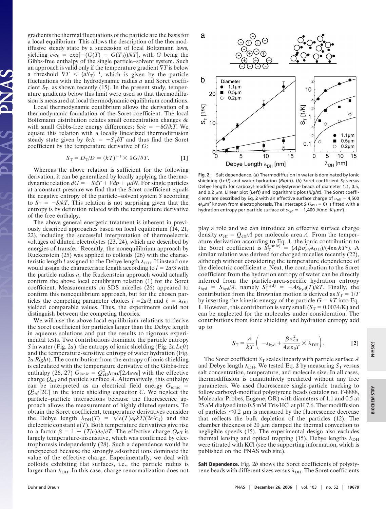gradients the thermal fluctuations of the particle are the basis for a local equilibrium. This allows the description of the thermodiffusive steady state by a succession of local Boltzmann laws, yielding  $c/c_0 = \exp[-(G(T) - G(T_0))/kT]$ , with *G* being the Gibbs-free enthalpy of the single particle–solvent system. Such an approach is valid only if the temperature gradient  $\nabla T$  is below a threshold  $\nabla T < (aS_T)^{-1}$ , which is given by the particle fluctuations with the hydrodynamic radius *a* and Soret coefficient  $S_T$ , as shown recently (15). In the present study, temperature gradients below this limit were used so that thermodiffusion is measured at local thermodynamic equilibrium conditions.

Local thermodynamic equilibrium allows the derivation of a thermodynamic foundation of the Soret coefficient. The local Boltzmann distribution relates small concentration changes  $\delta c$ with small Gibbs-free energy differences:  $\delta c/c = -\delta G/kT$ . We equate this relation with a locally linearized thermodiffusion steady state given by  $\delta c/c = -S_T \delta T$  and thus find the Soret coefficient by the temperature derivative of *G*:

$$
S_{\rm T} = D_{\rm T}/D = (kT)^{-1} \times \partial G/\partial T.
$$
 [1]

Whereas the above relation is sufficient for the following derivation, it can be generalized by locally applying the thermodynamic relation  $dG = -SdT + Vdp + \mu dN$ . For single particles at a constant pressure we find that the Soret coefficient equals the negative entropy of the particle–solvent system *S* according to  $S_T = -S/kT$ . This relation is not surprising given that the entropy is by definition related with the temperature derivative of the free enthalpy.

The above general energetic treatment is inherent in previously described approaches based on local equilibrium (14, 21, 22), including the successful interpretation of thermoelectric voltages of diluted electrolytes (23, 24), which are described by energies of transfer. Recently, the nonequilibrium approach by Ruckenstein (25) was applied to colloids (26) with the characteristic length *l* assigned to the Debye length  $\lambda_{\text{DH}}$ . If instead one would assign the characteristic length according to  $l = 2a/3$  with the particle radius *a*, the Ruckenstein approach would actually confirm the above local equilibrium relation (1) for the Soret coefficient. Measurements on SDS micelles (26) appeared to confirm this nonequilibrium approach, but for the chosen particles the competing parameter choices  $l = 2a/3$  and  $\ell = \lambda_{\text{DH}}$ yielded comparable values. Thus, the experiments could not distinguish between the competing theories.

We will use the above local equilibrium relations to derive the Soret coefficient for particles larger than the Debye length in aqueous solutions and put the results to rigorous experimental tests. Two contributions dominate the particle entropy *S* in water (Fig. 2*a*): the entropy of ionic shielding (Fig. 2a *Left*) and the temperature-sensitive entropy of water hydration (Fig. 2*a Right*). The contribution from the entropy of ionic shielding is calculated with the temperature derivative of the Gibbs-free enthalpy (26, 27)  $G_{\text{ionic}} = Q_{\text{eff}}^2 \lambda_{\text{DH}}/[2A\epsilon\epsilon_0]$  with the effective charge  $Q_{\text{eff}}$  and particle surface A. Alternatively, this enthalpy can be interpreted as an electrical field energy *G*ionic  $Q_{\text{eff}}^2$  [2*C*] in the ionic shielding capacitor *C*. We neglect the particle–particle interactions because the fluorescence approach allows the measurement of highly diluted systems. To obtain the Soret coefficient, temperature derivatives consider the Debye length  $\lambda_{DH}(T) = \sqrt{\varepsilon(T)\varepsilon_0 kT/(2e^2c_S)}$  and the dielectric constant  $\varepsilon(T)$ . Both temperature derivatives give rise to a factor  $\beta = 1 - (T/\varepsilon)\partial \varepsilon/\partial T$ . The effective charge  $Q_{\text{eff}}$  is largely temperature-insensitive, which was confirmed by electrophoresis independently (28). Such a dependence would be unexpected because the strongly adsorbed ions dominate the value of the effective charge. Experimentally, we deal with colloids exhibiting flat surfaces, i.e., the particle radius is larger than  $\lambda_{\text{DH}}$ . In this case, charge renormalization does not



**Fig. 2.** Salt dependence. (*a*) Thermodiffusion in water is dominated by ionic shielding (Left) and water hydration (*Right*). (b) Soret coefficient  $S_T$  versus Debye length for carboxyl-modified polystyrene beads of diameter 1.1, 0.5, and 0.2  $\mu$ m. Linear plot (Left) and logarithmic plot (*Right*). The Soret coefficients are described by Eq. 2 with an effective surface charge of  $\sigma_{\text{eff}} = 4,500$  $e/\mu$ m<sup>2</sup> known from electrophoresis. The intercept  $S_T(\lambda_{DH} = 0)$  is fitted with a hydration entropy per particle surface of  $s_{\text{hyd}} = -1,400 \text{ J/(mol·K· $\mu$ m<sup>2</sup>).$ 

play a role and we can introduce an effective surface charge density  $\sigma_{\text{eff}} = Q_{\text{eff}}/A$  per molecule area *A*. From the temperature derivation according to Eq. **1**, the ionic contribution to the Soret coefficient is  $\overline{S}_{\rm T}^{\rm (ionic)} = (A\beta\sigma_{\rm eff}^2\lambda_{\rm DH})/(4\epsilon\epsilon_0 kT^2)$ . A similar relation was derived for charged micelles recently (22), although without considering the temperature dependence of the dielectric coefficient  $\varepsilon$ . Next, the contribution to the Soret coefficient from the hydration entropy of water can be directly inferred from the particle-area-specific hydration entropy  $s_{\text{hyd}} = S_{\text{hyd}}/A$ , namely  $S_{\text{T}}^{(\text{hyd})} = -As_{\text{hyd}}(T)/kT$ . Finally, the contribution from the Brownian motion is derived as  $S_T = 1/T$ by inserting the kinetic energy of the particle  $G = kT$  into Eq. **1**. However, this contribution is very small  $(S_T = 0.0034/K)$  and can be neglected for the molecules under consideration. The contributions from ionic shielding and hydration entropy add up to

$$
S_{\rm T} = \frac{A}{kT} \left( -s_{\rm hyd} + \frac{\beta \sigma_{\rm eff}^2}{4 \epsilon \epsilon_0 T} \times \lambda_{\rm DH} \right). \tag{2}
$$

The Soret coefficient  $S_T$  scales linearly with particle surface A and Debye length  $\lambda_{\text{DH}}$ . We tested Eq. 2 by measuring  $S_T$  versus salt concentration, temperature, and molecule size. In all cases, thermodiffusion is quantitatively predicted without any free parameters. We used fluorescence single-particle tracking to follow carboxyl-modified polystyrene beads (catalog no. F-8888, Molecular Probes, Eugene, OR) with diameters of 1.1 and 0.5 at 25 aM dialyzed into 0.5 mM Tris HCl at pH 7.6. Thermodiffusion of particles  $\leq 0.2$   $\mu$ m is measured by the fluorescence decrease that reflects the bulk depletion of the particles (12). The chamber thickness of 20  $\mu$ m damped the thermal convection to negligible speeds (15). The experimental design also excludes thermal lensing and optical trapping (15). Debye lengths  $\lambda_{\text{DH}}$ were titrated with KCl (see the supporting information, which is published on the PNAS web site).

**Salt Dependence.** Fig. 2*b* shows the Soret coefficients of polystyrene beads with different sizes versus  $\lambda_{\text{DH}}$ . The Soret coefficients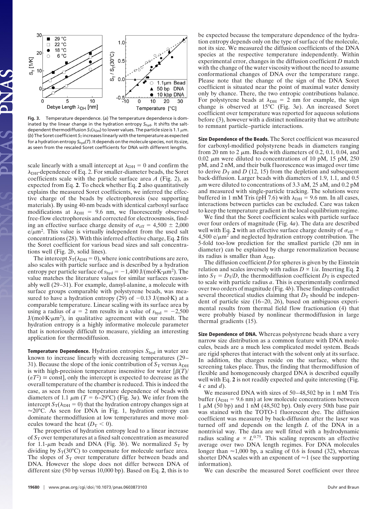

**Fig. 3.** Temperature dependence. (*a*) The temperature dependence is dominated by the linear change in the hydration entropy *S*hyd. It shifts the saltdependent thermodiffusion  $S_T(\lambda_{\text{DH}})$  to lower values. The particle size is 1.1  $\mu$ m. (b) The Soret coefficient S<sub>T</sub> increases linearly with the temperature as expected for a hydration entropy *S*hyd(*T*). It depends on the molecule species, not its size, as seen from the rescaled Soret coefficients for DNA with different lengths.

scale linearly with a small intercept at  $\lambda_{\text{DH}} = 0$  and confirm the  $\lambda_{\text{DH}}$ -dependence of Eq. 2. For smaller-diameter beads, the Soret coefficients scale with the particle surface area *A* (Fig. 2), as expected from Eq. **2**. To check whether Eq. **2** also quantitatively explains the measured Soret coefficients, we inferred the effective charge of the beads by electrophoresis (see supporting materials). By using 40-nm beads with identical carboxyl surface modifications at  $\lambda_{\text{DH}}$  = 9.6 nm, we fluorescently observed free-flow electrophoresis and corrected for electroosmosis, finding an effective surface charge density of  $\sigma_{\text{eff}} = 4{,}500 \pm 2{,}000$  $e/\mu m^2$ . This value is virtually independent from the used salt concentrations (28). With this inferred effective charge, Eq. **2** fits the Soret coefficient for various bead sizes and salt concentrations well (Fig. 2*b*, solid lines).

The intercept  $S_T(\lambda_{\text{DH}} = 0)$ , where ionic contributions are zero, also scales with particle surface and is described by a hydration entropy per particle surface of  $s_{\text{hyd}} = -1,400 \text{ J/(mol·K·µm²)}$ . The value matches the literature values for similar surfaces reasonably well (29–31). For example, dansyl-alanine, a molecule with surface groups comparable with polystyrene beads, was measured to have a hydration entropy (29) of  $-0.13$  J/(mol $\cdot$ K) at a comparable temperature. Linear scaling with its surface area by using a radius of  $a = 2$  nm results in a value of  $s<sub>hyd</sub> = -2,500$  $J/(mol·K·µm<sup>2</sup>)$ , in qualitative agreement with our result. The hydration entropy is a highly informative molecule parameter that is notoriously difficult to measure, yielding an interesting application for thermodiffusion.

**Temperature Dependence.** Hydration entropies  $S_{\text{hyd}}$  in water are known to increase linearly with decreasing temperatures (29– 31). Because the slope of the ionic contribution of  $S_T$  versus  $\lambda_{\text{DH}}$ is with high-precision temperature insensitive for water  $\left[\beta(T)\right]$  $(\varepsilon T^2) \cong \text{const}$ , only the intercept is expected to decrease as the overall temperature of the chamber is reduced. This is indeed the case, as seen from the temperature dependence of beads with diameters of 1.1  $\mu$ m (*T* = 6–29°C) (Fig. 3*a*). We infer from the intercept  $S_T(\lambda_{\text{DH}} = 0)$  that the hydration entropy changes sign at  $\approx$  20°C. As seen for DNA in Fig. 1, hydration entropy can dominate thermodiffusion at low temperatures and move molecules toward the heat  $(D<sub>T</sub> < 0)$ .

The properties of hydration entropy lead to a linear increase of *S*<sup>T</sup> over temperatures at a fixed salt concentration as measured for 1.1- $\mu$ m beads and DNA (Fig. 3*b*). We normalized  $S_T$  by dividing by  $S_T(30^{\circ}C)$  to compensate for molecule surface area. The slopes of  $S_T$  over temperature differ between beads and DNA. However the slope does not differ between DNA of different size (50 bp versus 10,000 bp). Based on Eq. **2**, this is to be expected because the temperature dependence of the hydration entropy depends only on the type of surface of the molecule, not its size. We measured the diffusion coefficients of the DNA species at the respective temperature independently. Within experimental error, changes in the diffusion coefficient *D* match with the change of the water viscosity without the need to assume conformational changes of DNA over the temperature range. Please note that the change of the sign of the DNA Soret coefficient is situated near the point of maximal water density only by chance. There, the two entropic contributions balance. For polystyrene beads at  $\lambda_{\text{DH}} = 2$  nm for example, the sign change is observed at 15°C (Fig. 3*a*). An increased Soret coefficient over temperature was reported for aqueous solutions before (3), however with a distinct nonlinearity that we attribute to remnant particle–particle interactions.

**Size Dependence of the Beads.** The Soret coefficient was measured for carboxyl-modified polystyrene beads in diameters ranging from 20 nm to 2  $\mu$ m. Beads with diameters of 0.2, 0.1, 0.04, and 0.02  $\mu$ m were diluted to concentrations of 10 pM, 15 pM, 250 pM, and 2 nM, and their bulk fluorescence was imaged over time to derive  $D_T$  and *D* (12, 15) from the depletion and subsequent back-diffusion. Larger beads with diameters of 1.9, 1.1, and 0.5  $\mu$ m were diluted to concentrations of 3.3 aM, 25 aM, and 0.2 pM and measured with single-particle tracking. The solutions were buffered in 1 mM Tris (pH 7.6) with  $\lambda_{\text{DH}}$  = 9.6 nm. In all cases, interactions between particles can be excluded. Care was taken to keep the temperature gradient in the local equilibrium regime.

We find that the Soret coefficient scales with particle surface over four orders of magnitude (Fig. 4*a*). The data are described well with Eq. 2 with an effective surface charge density of  $\sigma_{\text{eff}}$  =  $4,500 \text{ e}/\mu\text{m}^2$  and neglected hydration entropy contribution. The 5-fold too-low prediction for the smallest particle (20 nm in diameter) can be explained by charge renormalization because its radius is smaller than  $\lambda_{\text{DH}}$ .

The diffusion coefficient *D* for spheres is given by the Einstein relation and scales inversely with radius  $D \propto 1/a$ . Inserting Eq. 2 into  $S_T = D_T/D$ , the thermodiffusion coefficient  $D_T$  is expected to scale with particle radius *a*. This is experimentally confirmed over two orders of magnitude (Fig. 4*b*). These findings contradict several theoretical studies claiming that  $D<sub>T</sub>$  should be independent of particle size (16–20, 26), based on ambiguous experimental results from thermal field flow fractionation (4) that were probably biased by nonlinear thermodiffusion in large thermal gradients (15).

**Size Dependence of DNA.** Whereas polystyrene beads share a very narrow size distribution as a common feature with DNA molecules, beads are a much less complicated model system. Beads are rigid spheres that interact with the solvent only at its surface. In addition, the charges reside on the surface, where the screening takes place. Thus, the finding that thermodiffusion of flexible and homogeneously charged DNA is described equally well with Eq. **2** is not readily expected and quite interesting (Fig. 4 *c* and *d*).

We measured DNA with sizes of 50–48,502 bp in 1 mM Tris buffer ( $\lambda_{\text{DH}}$  = 9.6 nm) at low molecule concentrations between 1  $\mu$ M (50 bp) and 1 nM (48,502 bp). Only every 50th base pair was stained with the TOTO-1 fluorescent dye. The diffusion coefficient was measured by back-diffusion after the laser was turned off and depends on the length *L* of the DNA in a nontrivial way. The data are well fitted with a hydrodynamic radius scaling  $a \propto L^{0.75}$ . This scaling represents an effective average over two DNA length regimes. For DNA molecules longer than  $\approx$  1,000 bp, a scaling of 0.6 is found (32), whereas shorter DNA scales with an exponent of  $\approx$  1 (see the supporting information).

We can describe the measured Soret coefficient over three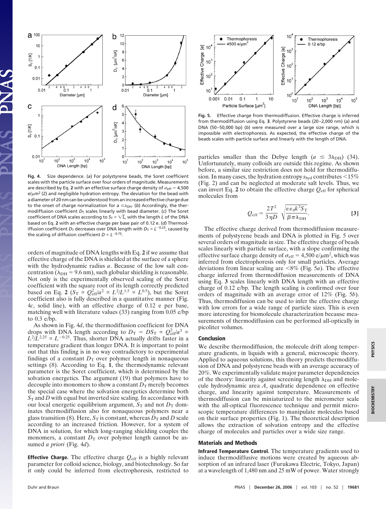

**Fig. 4.** Size dependence. (*a*) For polystyrene beads, the Soret coefficient scales with the particle surface over four orders of magnitude. Measurements are described by Eq. 2 with an effective surface charge density of  $\sigma_{\text{eff}} = 4,500$  $e/\mu$ m<sup>2</sup> (2) and negligible hydration entropy. The deviation for the bead with a diameter of 20 nm can be understood from an increased effective charge due to the onset of charge normalization for  $a \leq \lambda_{DH}$ . (b) Accordingly, the thermodiffusion coefficient  $D_T$  scales linearly with bead diameter. (c) The Soret coefficient of DNA scales according to  $S_T \propto \sqrt{L}$ , with the length *L* of the DNA based on Eq. **2** with an effective charge per base pair of 0.12 e. (*d*) Thermodiffusion coefficient  $D_T$  decreases over DNA length with  $D_T \propto L^{-0.25}$ , caused by the scaling of diffusion coefficient  $D \propto L^{-0.75}$ .

orders of magnitude of DNA lengths with Eq. **2** if we assume that effective charge of the DNA is shielded at the surface of a sphere with the hydrodynamic radius *a*. Because of the low salt concentration ( $\lambda_{\text{DH}}$  = 9.6 nm), such globular shielding is reasonable. Not only is the experimentally observed scaling of the Soret coefficient with the square root of its length correctly predicted based on Eq. 2 ( $S_T \propto Q_{eff}^2/a^2 \propto L^2/L^{1.5} \propto L^{0.5}$ ), but the Soret coefficient also is fully described in a quantitative manner (Fig. 4*c*, solid line), with an effective charge of 0.12 e per base, matching well with literature values (33) ranging from 0.05 e/bp to 0.3 e/bp.

As shown in Fig. 4*d*, the thermodiffusion coefficient for DNA drops with DNA length according to  $D_T = DS_T \propto Q_{\text{eff}}^2/a^3 \propto$  $L^2/L^{2.25} \propto L^{-0.25}$ . Thus, shorter DNA actually drifts faster in a temperature gradient than longer DNA. It is important to point out that this finding is in no way contradictory to experimental findings of a constant  $D<sub>T</sub>$  over polymer length in nonaqueous settings (8). According to Eq. **1**, the thermodynamic relevant parameter is the Soret coefficient, which is determined by the solvation energetics. The argument (19) that polymers have to decouple into monomers to show a constant  $D_T$  merely becomes the special case where the solvation energetics determine both *S*<sup>T</sup> and *D* with equal but inverted size scaling. In accordance with our local energetic equilibrium argument,  $S_T$  and not  $D_T$  dominates thermodiffusion also for nonaqueous polymers near a glass transition (8). Here,  $S_T$  is constant, whereas  $D_T$  and *D* scale according to an increased friction. However, for a system of DNA in solution, for which long-ranging shielding couples the monomers, a constant  $D_T$  over polymer length cannot be assumed *a priori* (Fig. 4*d*).

**Effective Charge.** The effective charge  $Q_{\text{eff}}$  is a highly relevant parameter for colloid science, biology, and biotechnology. So far it only could be inferred from electrophoresis, restricted to



**Fig. 5.** Effective charge from thermodiffusion. Effective charge is inferred from thermodiffusion using Eq. **3**. Polystyrene beads (20–2,000 nm) (*a*) and DNA (50–50,000 bp) (*b*) were measured over a large size range, which is impossible with electrophoresis. As expected, the effective charge of the beads scales with particle surface and linearly with the length of DNA.

particles smaller than the Debye length  $(a \leq 3\lambda_{\text{DH}})$  (34). Unfortunately, many colloids are outside this regime. As shown before, a similar size restriction does not hold for thermodiffusion. In many cases, the hydration entropy  $s_{\text{hyd}}$  contributes  $\leq 15\%$ (Fig. 2) and can be neglected at moderate salt levels. Thus, we can invert Eq. 2 to obtain the effective charge  $Q_{\text{eff}}$  for spherical molecules from

$$
Q_{\rm eff} = \frac{2T^2}{3\eta D} \sqrt{\frac{\varepsilon \varepsilon_0 k^3 S_{\rm T}}{\beta \pi \lambda_{\rm DH}}}.
$$
 [3]

The effective charge derived from thermodiffusion measurements of polystyrene beads and DNA is plotted in Fig. 5 over several orders of magnitude in size. The effective charge of beads scales linearly with particle surface, with a slope confirming the effective surface charge density of  $\sigma_{\text{eff}} = 4{,}500 \text{ e}/\mu\text{m}^2$ , which was inferred from electrophoresis only for small particles. Average deviations from linear scaling are 8% (Fig. 5*a*). The effective charge inferred from thermodiffusion measurements of DNA using Eq. **3** scales linearly with DNA length with an effective charge of 0.12 e/bp. The length scaling is confirmed over four orders of magnitude with an average error of 12% (Fig. 5*b*). Thus, thermodiffusion can be used to infer the effective charge with low errors for a wide range of particle sizes. This is even more interesting for biomolecule characterization because measurements of thermodiffusion can be performed all-optically in picoliter volumes.

#### **Conclusion**

We describe thermodiffusion, the molecule drift along temperature gradients, in liquids with a general, microscopic theory. Applied to aqueous solutions, this theory predicts thermodiffusion of DNA and polystyrene beads with an average accuracy of 20%. We experimentally validate major parameter dependencies of the theory: linearity against screening length  $\lambda_{\text{DH}}$  and molecule hydrodynamic area *A*, quadratic dependence on effective charge, and linearity against temperature. Measurements of thermodiffusion can be miniaturized to the micrometer scale with the all-optical fluorescence technique and permit microscopic temperature differences to manipulate molecules based on their surface properties (Fig. 1). The theoretical description allows the extraction of solvation entropy and the effective charge of molecules and particles over a wide size range.

#### **Materials and Methods**

**Infrared Temperature Control.** The temperature gradients used to induce thermodiffusive motions were created by aqueous absorption of an infrared laser (Furukawa Electric, Tokyo, Japan) at a wavelength of 1,480 nm and 25 mW of power. Water strongly

**PHYSICS**